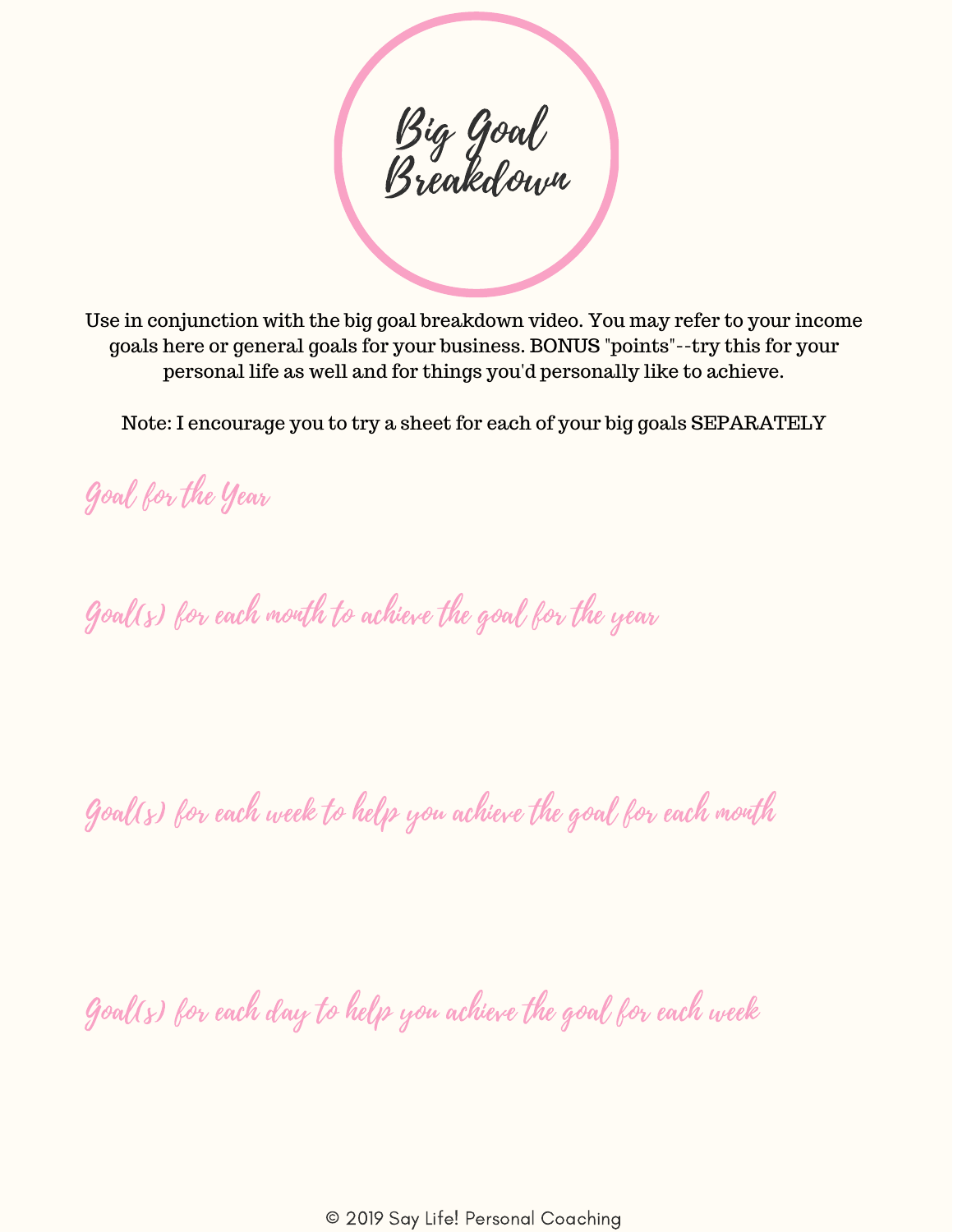Big Goal Breakdown

Use in conjunction with the big goal breakdown video. You may refer to your income goals here or general goals for your business. BONUS "points"--try this for your personal life as well and for things you'd personally like to achieve.

Note: I encourage you to try a sheet for each of your big goals SEPARATELY

Goal for the Year

Goal(s) for each month to achieve the goal for the year

Goal(s) for each week to help you achieve the goal for each month

Goal(s) for each day to help you achieve the goal for each week